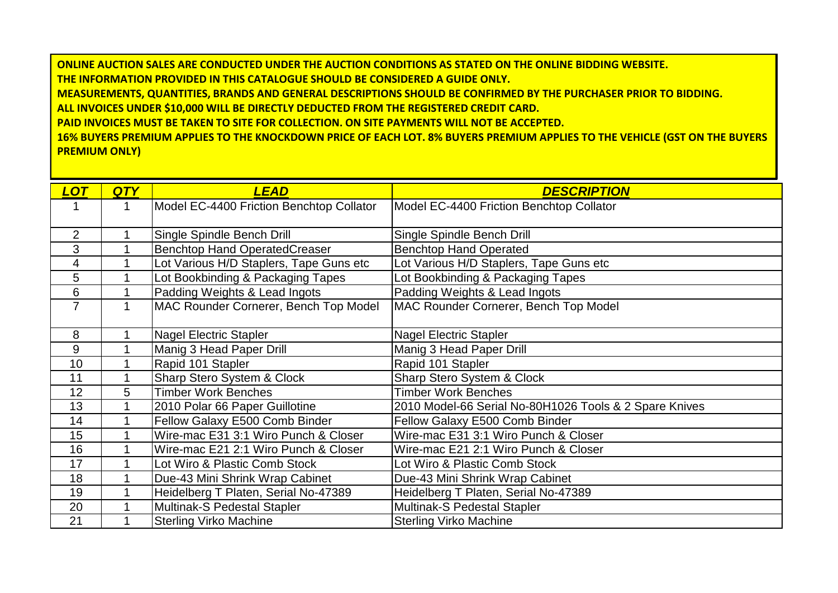**ONLINE AUCTION SALES ARE CONDUCTED UNDER THE AUCTION CONDITIONS AS STATED ON THE ONLINE BIDDING WEBSITE. THE INFORMATION PROVIDED IN THIS CATALOGUE SHOULD BE CONSIDERED A GUIDE ONLY. MEASUREMENTS, QUANTITIES, BRANDS AND GENERAL DESCRIPTIONS SHOULD BE CONFIRMED BY THE PURCHASER PRIOR TO BIDDING. ALL INVOICES UNDER \$10,000 WILL BE DIRECTLY DEDUCTED FROM THE REGISTERED CREDIT CARD. PAID INVOICES MUST BE TAKEN TO SITE FOR COLLECTION. ON SITE PAYMENTS WILL NOT BE ACCEPTED. 16% BUYERS PREMIUM APPLIES TO THE KNOCKDOWN PRICE OF EACH LOT. 8% BUYERS PREMIUM APPLIES TO THE VEHICLE (GST ON THE BUYERS** 

**PREMIUM ONLY)**

| <b>LOT</b>     | <b>QTY</b> | <b>LEAD</b>                              | <b>DESCRIPTION</b>                                     |
|----------------|------------|------------------------------------------|--------------------------------------------------------|
|                | 1          | Model EC-4400 Friction Benchtop Collator | Model EC-4400 Friction Benchtop Collator               |
| $\overline{2}$ |            | Single Spindle Bench Drill               | Single Spindle Bench Drill                             |
| 3              |            | <b>Benchtop Hand OperatedCreaser</b>     | <b>Benchtop Hand Operated</b>                          |
| 4              |            | Lot Various H/D Staplers, Tape Guns etc  | Lot Various H/D Staplers, Tape Guns etc                |
| 5              |            | Lot Bookbinding & Packaging Tapes        | Lot Bookbinding & Packaging Tapes                      |
| 6              |            | Padding Weights & Lead Ingots            | Padding Weights & Lead Ingots                          |
| $\overline{7}$ |            | MAC Rounder Cornerer, Bench Top Model    | MAC Rounder Cornerer, Bench Top Model                  |
|                |            |                                          |                                                        |
| 8              |            | <b>Nagel Electric Stapler</b>            | <b>Nagel Electric Stapler</b>                          |
| 9              |            | Manig 3 Head Paper Drill                 | Manig 3 Head Paper Drill                               |
| 10             |            | Rapid 101 Stapler                        | Rapid 101 Stapler                                      |
| 11             |            | <b>Sharp Stero System &amp; Clock</b>    | Sharp Stero System & Clock                             |
| 12             | 5          | <b>Timber Work Benches</b>               | <b>Timber Work Benches</b>                             |
| 13             |            | 2010 Polar 66 Paper Guillotine           | 2010 Model-66 Serial No-80H1026 Tools & 2 Spare Knives |
| 14             |            | Fellow Galaxy E500 Comb Binder           | Fellow Galaxy E500 Comb Binder                         |
| 15             |            | Wire-mac E31 3:1 Wiro Punch & Closer     | Wire-mac E31 3:1 Wiro Punch & Closer                   |
| 16             |            | Wire-mac E21 2:1 Wiro Punch & Closer     | Wire-mac E21 2:1 Wiro Punch & Closer                   |
| 17             |            | Lot Wiro & Plastic Comb Stock            | Lot Wiro & Plastic Comb Stock                          |
| 18             |            | Due-43 Mini Shrink Wrap Cabinet          | Due-43 Mini Shrink Wrap Cabinet                        |
| 19             |            | Heidelberg T Platen, Serial No-47389     | Heidelberg T Platen, Serial No-47389                   |
| 20             |            | Multinak-S Pedestal Stapler              | Multinak-S Pedestal Stapler                            |
| 21             |            | <b>Sterling Virko Machine</b>            | <b>Sterling Virko Machine</b>                          |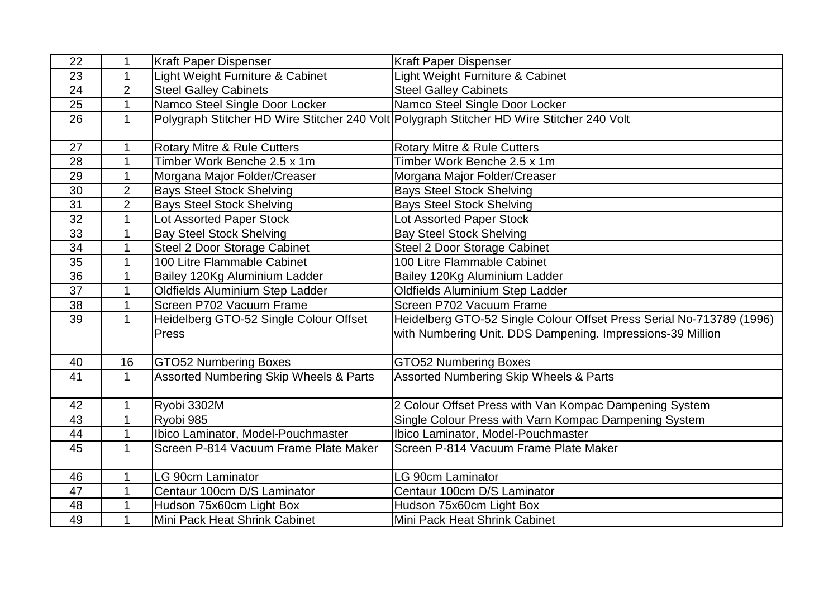| 22              |                | <b>Kraft Paper Dispenser</b>                      | <b>Kraft Paper Dispenser</b>                                                              |
|-----------------|----------------|---------------------------------------------------|-------------------------------------------------------------------------------------------|
| 23              | 1              | Light Weight Furniture & Cabinet                  | Light Weight Furniture & Cabinet                                                          |
| 24              | $\overline{2}$ | <b>Steel Galley Cabinets</b>                      | <b>Steel Galley Cabinets</b>                                                              |
| 25              | $\mathbf 1$    | Namco Steel Single Door Locker                    | Namco Steel Single Door Locker                                                            |
| 26              | $\mathbf 1$    |                                                   | Polygraph Stitcher HD Wire Stitcher 240 Volt Polygraph Stitcher HD Wire Stitcher 240 Volt |
|                 |                |                                                   |                                                                                           |
| 27              | 1              | <b>Rotary Mitre &amp; Rule Cutters</b>            | <b>Rotary Mitre &amp; Rule Cutters</b>                                                    |
| 28              |                | Timber Work Benche 2.5 x 1m                       | Timber Work Benche 2.5 x 1m                                                               |
| 29              | 1              | Morgana Major Folder/Creaser                      | Morgana Major Folder/Creaser                                                              |
| 30              | $\overline{2}$ | <b>Bays Steel Stock Shelving</b>                  | <b>Bays Steel Stock Shelving</b>                                                          |
| 31              | $\overline{2}$ | <b>Bays Steel Stock Shelving</b>                  | <b>Bays Steel Stock Shelving</b>                                                          |
| 32              |                | Lot Assorted Paper Stock                          | Lot Assorted Paper Stock                                                                  |
| 33              | 1              | <b>Bay Steel Stock Shelving</b>                   | <b>Bay Steel Stock Shelving</b>                                                           |
| 34              |                | Steel 2 Door Storage Cabinet                      | Steel 2 Door Storage Cabinet                                                              |
| 35              | $\mathbf{1}$   | 100 Litre Flammable Cabinet                       | 100 Litre Flammable Cabinet                                                               |
| 36              |                | Bailey 120Kg Aluminium Ladder                     | Bailey 120Kg Aluminium Ladder                                                             |
| 37              | 1              | Oldfields Aluminium Step Ladder                   | Oldfields Aluminium Step Ladder                                                           |
| 38              |                | Screen P702 Vacuum Frame                          | Screen P702 Vacuum Frame                                                                  |
| $\overline{39}$ | $\mathbf{1}$   | Heidelberg GTO-52 Single Colour Offset            | Heidelberg GTO-52 Single Colour Offset Press Serial No-713789 (1996)                      |
|                 |                | Press                                             | with Numbering Unit. DDS Dampening. Impressions-39 Million                                |
| 40              | 16             | <b>GTO52 Numbering Boxes</b>                      | <b>GTO52 Numbering Boxes</b>                                                              |
| 41              | $\mathbf 1$    | <b>Assorted Numbering Skip Wheels &amp; Parts</b> | Assorted Numbering Skip Wheels & Parts                                                    |
|                 |                |                                                   |                                                                                           |
| 42              |                | Ryobi 3302M                                       | 2 Colour Offset Press with Van Kompac Dampening System                                    |
| 43              | $\mathbf{1}$   | Ryobi 985                                         | Single Colour Press with Varn Kompac Dampening System                                     |
| 44              |                | Ibico Laminator, Model-Pouchmaster                | Ibico Laminator, Model-Pouchmaster                                                        |
| 45              | $\mathbf 1$    | Screen P-814 Vacuum Frame Plate Maker             | Screen P-814 Vacuum Frame Plate Maker                                                     |
| 46              | 1              | LG 90cm Laminator                                 | LG 90cm Laminator                                                                         |
| 47              |                | Centaur 100cm D/S Laminator                       | Centaur 100cm D/S Laminator                                                               |
| 48              | 1              | Hudson 75x60cm Light Box                          | Hudson 75x60cm Light Box                                                                  |
| 49              |                | Mini Pack Heat Shrink Cabinet                     | Mini Pack Heat Shrink Cabinet                                                             |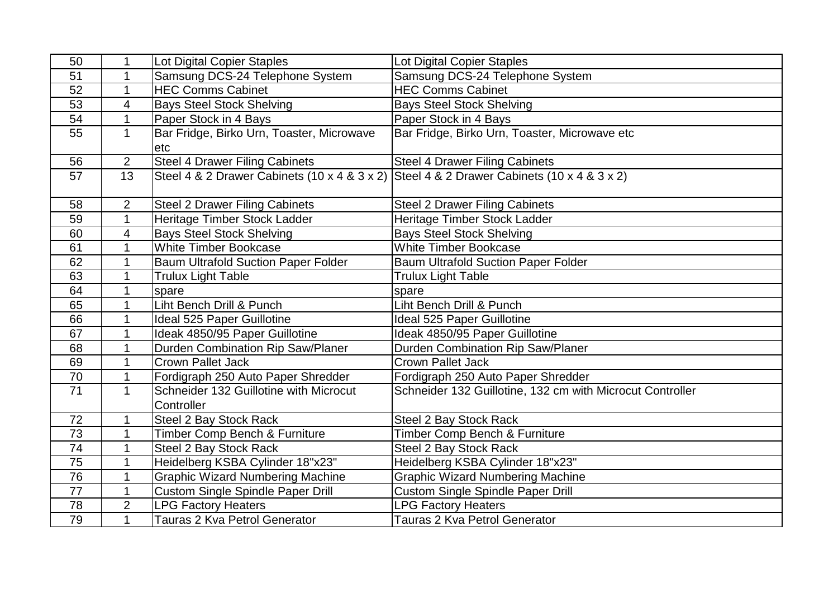| 50              | 1.             | Lot Digital Copier Staples                           | <b>Lot Digital Copier Staples</b>                                                         |
|-----------------|----------------|------------------------------------------------------|-------------------------------------------------------------------------------------------|
| 51              | 1              | Samsung DCS-24 Telephone System                      | Samsung DCS-24 Telephone System                                                           |
| 52              | $\mathbf 1$    | <b>HEC Comms Cabinet</b>                             | <b>HEC Comms Cabinet</b>                                                                  |
| 53              | 4              | <b>Bays Steel Stock Shelving</b>                     | <b>Bays Steel Stock Shelving</b>                                                          |
| 54              | 1              | Paper Stock in 4 Bays                                | Paper Stock in 4 Bays                                                                     |
| 55              | $\mathbf 1$    | Bar Fridge, Birko Urn, Toaster, Microwave<br>etc     | Bar Fridge, Birko Urn, Toaster, Microwave etc                                             |
| 56              | $\overline{2}$ | <b>Steel 4 Drawer Filing Cabinets</b>                | <b>Steel 4 Drawer Filing Cabinets</b>                                                     |
| 57              | 13             |                                                      | Steel 4 & 2 Drawer Cabinets (10 x 4 & 3 x 2) Steel 4 & 2 Drawer Cabinets (10 x 4 & 3 x 2) |
| 58              | $\overline{2}$ | <b>Steel 2 Drawer Filing Cabinets</b>                | <b>Steel 2 Drawer Filing Cabinets</b>                                                     |
| 59              | 1              | Heritage Timber Stock Ladder                         | Heritage Timber Stock Ladder                                                              |
| 60              | 4              | <b>Bays Steel Stock Shelving</b>                     | <b>Bays Steel Stock Shelving</b>                                                          |
| 61              | $\mathbf 1$    | <b>White Timber Bookcase</b>                         | <b>White Timber Bookcase</b>                                                              |
| 62              | 1              | <b>Baum Ultrafold Suction Paper Folder</b>           | <b>Baum Ultrafold Suction Paper Folder</b>                                                |
| 63              | 1              | <b>Trulux Light Table</b>                            | <b>Trulux Light Table</b>                                                                 |
| 64              | 1              | spare                                                | spare                                                                                     |
| 65              | $\mathbf 1$    | Liht Bench Drill & Punch                             | Liht Bench Drill & Punch                                                                  |
| 66              | $\mathbf 1$    | Ideal 525 Paper Guillotine                           | Ideal 525 Paper Guillotine                                                                |
| 67              | 1              | Ideak 4850/95 Paper Guillotine                       | Ideak 4850/95 Paper Guillotine                                                            |
| 68              | $\mathbf 1$    | Durden Combination Rip Saw/Planer                    | Durden Combination Rip Saw/Planer                                                         |
| 69              | 1              | <b>Crown Pallet Jack</b>                             | <b>Crown Pallet Jack</b>                                                                  |
| 70              | 1              | Fordigraph 250 Auto Paper Shredder                   | Fordigraph 250 Auto Paper Shredder                                                        |
| 71              | $\mathbf 1$    | Schneider 132 Guillotine with Microcut<br>Controller | Schneider 132 Guillotine, 132 cm with Microcut Controller                                 |
| 72              | 1              | Steel 2 Bay Stock Rack                               | Steel 2 Bay Stock Rack                                                                    |
| 73              | 1              | Timber Comp Bench & Furniture                        | Timber Comp Bench & Furniture                                                             |
| 74              | 1              | Steel 2 Bay Stock Rack                               | Steel 2 Bay Stock Rack                                                                    |
| 75              | $\mathbf 1$    | Heidelberg KSBA Cylinder 18"x23"                     | Heidelberg KSBA Cylinder 18"x23"                                                          |
| 76              | $\mathbf 1$    | <b>Graphic Wizard Numbering Machine</b>              | <b>Graphic Wizard Numbering Machine</b>                                                   |
| $\overline{77}$ | 1              | <b>Custom Single Spindle Paper Drill</b>             | <b>Custom Single Spindle Paper Drill</b>                                                  |
| 78              | $\overline{2}$ | <b>LPG Factory Heaters</b>                           | <b>LPG Factory Heaters</b>                                                                |
| 79              | $\mathbf 1$    | Tauras 2 Kva Petrol Generator                        | Tauras 2 Kva Petrol Generator                                                             |